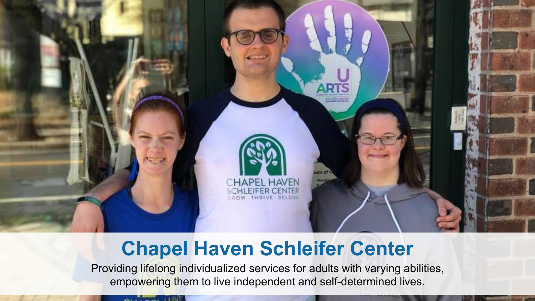

### **Chapel Haven Schleifer Center**

Providing lifelong individualized services for adults with varying abilities, empowering them to live independent and self-determined lives.

 $\sim$   $\sim$   $\sim$   $\sim$   $\sim$   $\sim$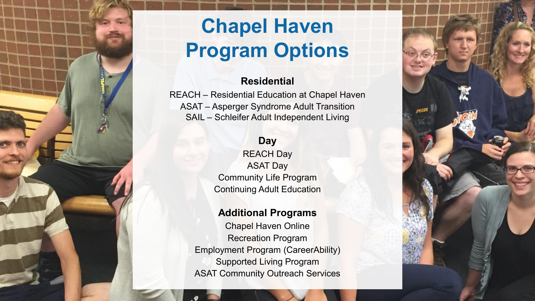# **Chapel Haven Program Options**

#### **Residential**

REACH – Residential Education at Chapel Haven ASAT – Asperger Syndrome Adult Transition SAIL – Schleifer Adult Independent Living

### **Day**

REACH Day ASAT Day Community Life Program Continuing Adult Education

#### **Additional Programs**

Chapel Haven Online Recreation Program Employment Program (CareerAbility) Supported Living Program ASAT Community Outreach Services

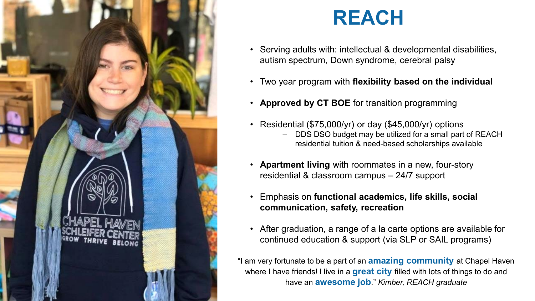

### **REACH**

- Serving adults with: intellectual & developmental disabilities, autism spectrum, Down syndrome, cerebral palsy
- Two year program with **flexibility based on the individual**
- **Approved by CT BOE** for transition programming
- Residential (\$75,000/yr) or day (\$45,000/yr) options
	- DDS DSO budget may be utilized for a small part of REACH residential tuition & need-based scholarships available
- **Apartment living** with roommates in a new, four-story residential & classroom campus – 24/7 support
- Emphasis on **functional academics, life skills, social communication, safety, recreation**
- After graduation, a range of a la carte options are available for continued education & support (via SLP or SAIL programs)

"I am very fortunate to be a part of an **amazing community** at Chapel Haven where I have friends! I live in a **great city** filled with lots of things to do and have an **awesome job**." *Kimber, REACH graduate*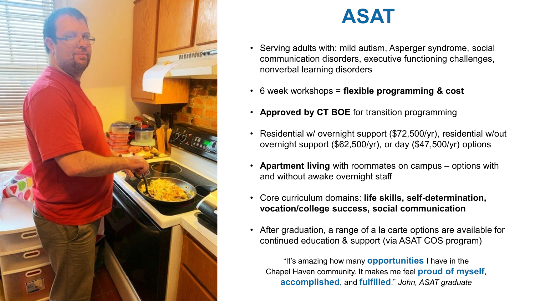

# **ASAT**

- Serving adults with: mild autism, Asperger syndrome, social communication disorders, executive functioning challenges, nonverbal learning disorders
- 6 week workshops = **flexible programming & cost**
- **Approved by CT BOE** for transition programming
- Residential w/ overnight support (\$72,500/yr), residential w/out overnight support (\$62,500/yr), or day (\$47,500/yr) options
- **Apartment living** with roommates on campus options with and without awake overnight staff
- Core curriculum domains: **life skills, self-determination, vocation/college success, social communication**
- After graduation, a range of a la carte options are available for continued education & support (via ASAT COS program)

"It's amazing how many **opportunities** I have in the Chapel Haven community. It makes me feel **proud of myself**, **accomplished**, and **fulfilled**." *John, ASAT graduate*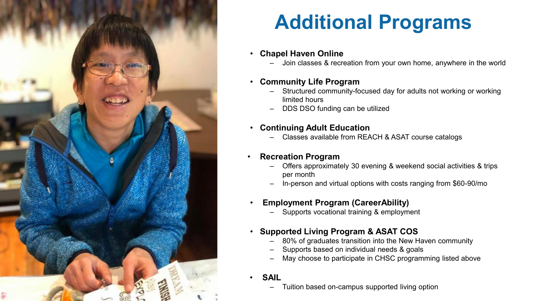

# **Additional Programs**

#### • **Chapel Haven Online**

– Join classes & recreation from your own home, anywhere in the world

#### • **Community Life Program**

- Structured community-focused day for adults not working or working limited hours
- DDS DSO funding can be utilized

#### • **Continuing Adult Education**

– Classes available from REACH & ASAT course catalogs

#### • **Recreation Program**

- Offers approximately 30 evening & weekend social activities & trips per month
- In-person and virtual options with costs ranging from \$60-90/mo

#### • **Employment Program (CareerAbility)**

– Supports vocational training & employment

#### • **Supported Living Program & ASAT COS**

- 80% of graduates transition into the New Haven community
- Supports based on individual needs & goals
- May choose to participate in CHSC programming listed above

#### • **SAIL**

– Tuition based on-campus supported living option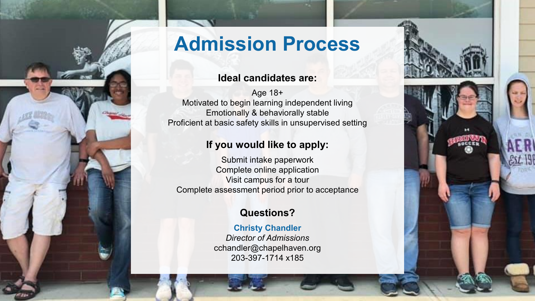

### **Admission Process**

#### **Ideal candidates are:**

Age 18+ Motivated to begin learning independent living Emotionally & behaviorally stable Proficient at basic safety skills in unsupervised setting

### **If you would like to apply:**

Submit intake paperwork Complete online application Visit campus for a tour Complete assessment period prior to acceptance

### **Questions?**

**Christy Chandler** *Director of Admissions* cchandler@chapelhaven.org 203-397-1714 x185